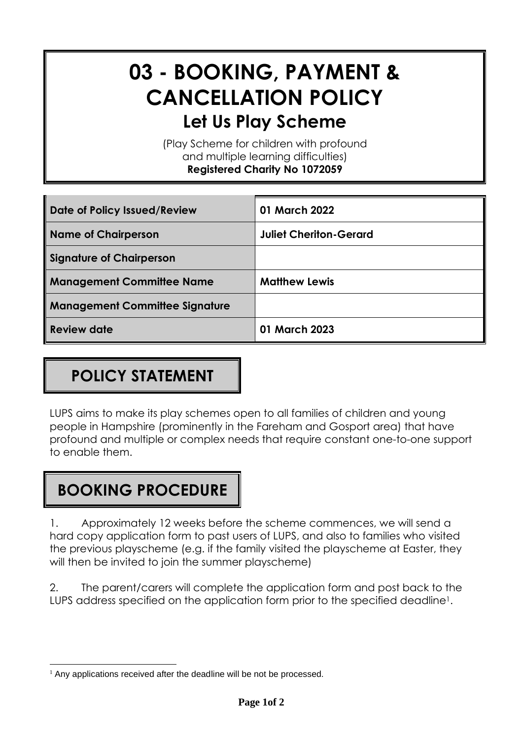# **03 - BOOKING, PAYMENT & CANCELLATION POLICY Let Us Play Scheme**

(Play Scheme for children with profound and multiple learning difficulties) **Registered Charity No 1072059**

| Date of Policy Issued/Review          | 01 March 2022                 |
|---------------------------------------|-------------------------------|
| <b>Name of Chairperson</b>            | <b>Juliet Cheriton-Gerard</b> |
| Signature of Chairperson              |                               |
| <b>Management Committee Name</b>      | <b>Matthew Lewis</b>          |
| <b>Management Committee Signature</b> |                               |
| <b>Review date</b>                    | 01 March 2023                 |

## **POLICY STATEMENT**

LUPS aims to make its play schemes open to all families of children and young people in Hampshire (prominently in the Fareham and Gosport area) that have profound and multiple or complex needs that require constant one-to-one support to enable them.

#### **BOOKING PROCEDURE**

1. Approximately 12 weeks before the scheme commences, we will send a hard copy application form to past users of LUPS, and also to families who visited the previous playscheme (e.g. if the family visited the playscheme at Easter, they will then be invited to join the summer playscheme)

2. The parent/carers will complete the application form and post back to the LUPS address specified on the application form prior to the specified deadline<sup>1</sup>.

<sup>&</sup>lt;sup>1</sup> Any applications received after the deadline will be not be processed.